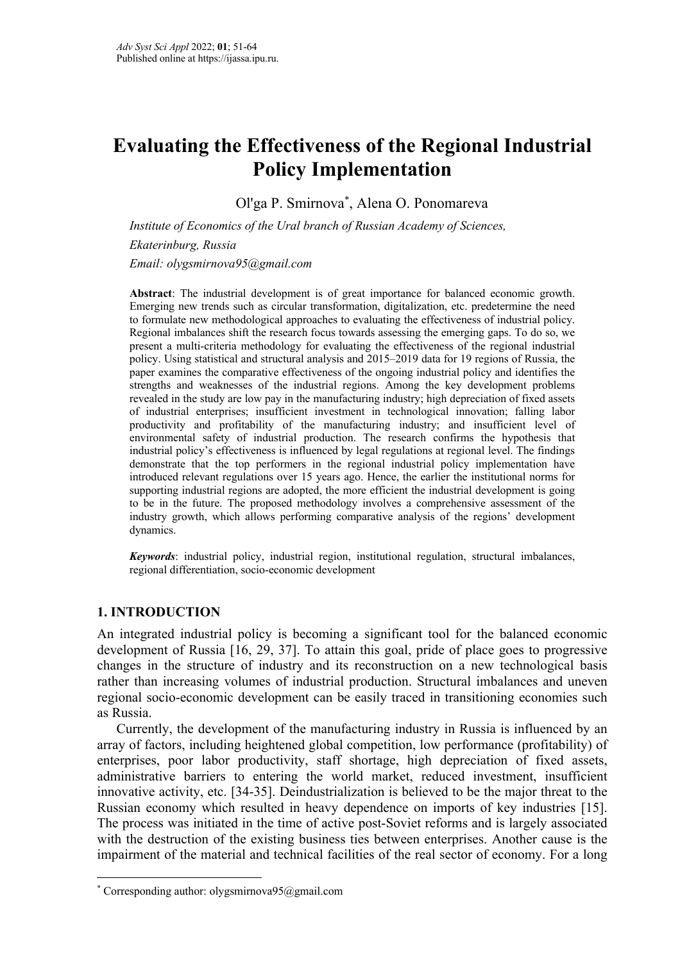# **Evaluating the Effectiveness of the Regional Industrial Policy Implementation**

Ol'ga P. Smirnova\* , Alena O. Ponomareva

*Institute of Economics of the Ural branch of Russian Academy of Sciences, Ekaterinburg, Russia Email: olygsmirnova95@gmail.com*

**Abstract**: The industrial development is of great importance for balanced economic growth. Emerging new trends such as circular transformation, digitalization, etc. predetermine the need to formulate new methodological approaches to evaluating the effectiveness of industrial policy. Regional imbalances shift the research focus towards assessing the emerging gaps. To do so, we present a multi-criteria methodology for evaluating the effectiveness of the regional industrial policy. Using statistical and structural analysis and 2015–2019 data for 19 regions of Russia, the paper examines the comparative effectiveness of the ongoing industrial policy and identifies the strengths and weaknesses of the industrial regions. Among the key development problems revealed in the study are low pay in the manufacturing industry; high depreciation of fixed assets of industrial enterprises; insufficient investment in technological innovation; falling labor productivity and profitability of the manufacturing industry; and insufficient level of environmental safety of industrial production. The research confirms the hypothesis that industrial policy's effectiveness is influenced by legal regulations at regional level. The findings demonstrate that the top performers in the regional industrial policy implementation have introduced relevant regulations over 15 years ago. Hence, the earlier the institutional norms for supporting industrial regions are adopted, the more efficient the industrial development is going to be in the future. The proposed methodology involves a comprehensive assessment of the industry growth, which allows performing comparative analysis of the regions' development dynamics.

*Keywords*: industrial policy, industrial region, institutional regulation, structural imbalances, regional differentiation, socio-economic development

## **1. INTRODUCTION**

An integrated industrial policy is becoming a significant tool for the balanced economic development of Russia [16, 29, 37]. To attain this goal, pride of place goes to progressive changes in the structure of industry and its reconstruction on a new technological basis rather than increasing volumes of industrial production. Structural imbalances and uneven regional socio-economic development can be easily traced in transitioning economies such as Russia.

Currently, the development of the manufacturing industry in Russia is influenced by an array of factors, including heightened global competition, low performance (profitability) of enterprises, poor labor productivity, staff shortage, high depreciation of fixed assets, administrative barriers to entering the world market, reduced investment, insufficient innovative activity, etc. [34-35]. Deindustrialization is believed to be the major threat to the Russian economy which resulted in heavy dependence on imports of key industries [15]. The process was initiated in the time of active post-Soviet reforms and is largely associated with the destruction of the existing business ties between enterprises. Another cause is the impairment of the material and technical facilities of the real sector of economy. For a long

<sup>\*</sup> Corresponding author: olygsmirnova $95$ @gmail.com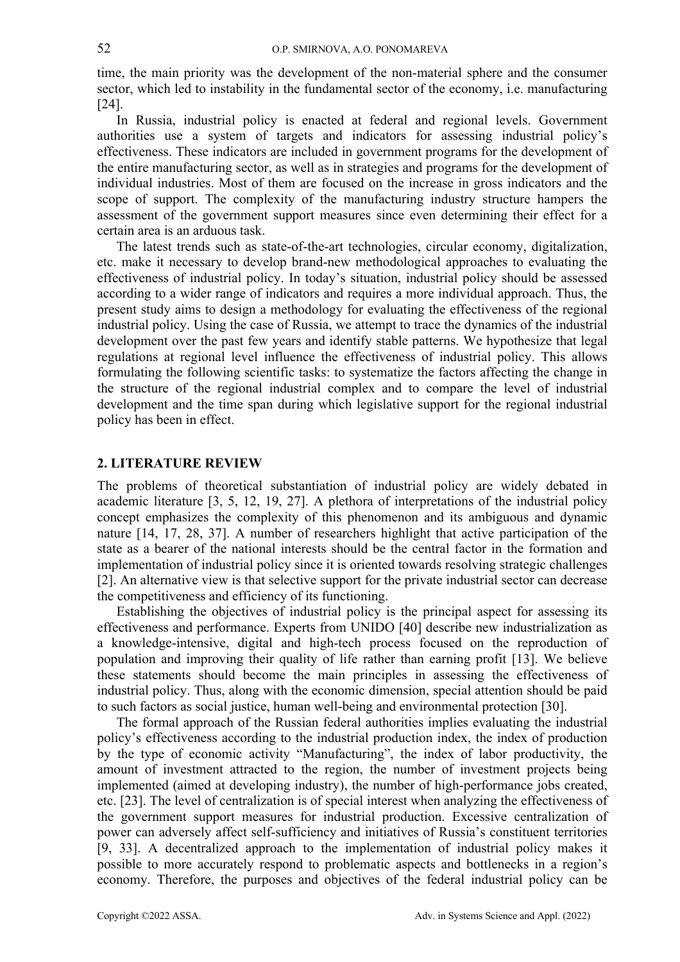time, the main priority was the development of the non-material sphere and the consumer sector, which led to instability in the fundamental sector of the economy, i.e. manufacturing [24].

In Russia, industrial policy is enacted at federal and regional levels. Government authorities use a system of targets and indicators for assessing industrial policy's effectiveness. These indicators are included in government programs for the development of the entire manufacturing sector, as well as in strategies and programs for the development of individual industries. Most of them are focused on the increase in gross indicators and the scope of support. The complexity of the manufacturing industry structure hampers the assessment of the government support measures since even determining their effect for a certain area is an arduous task.

The latest trends such as state-of-the-art technologies, circular economy, digitalization, etc. make it necessary to develop brand-new methodological approaches to evaluating the effectiveness of industrial policy. In today's situation, industrial policy should be assessed according to a wider range of indicators and requires a more individual approach. Thus, the present study aims to design a methodology for evaluating the effectiveness of the regional industrial policy. Using the case of Russia, we attempt to trace the dynamics of the industrial development over the past few years and identify stable patterns. We hypothesize that legal regulations at regional level influence the effectiveness of industrial policy. This allows formulating the following scientific tasks: to systematize the factors affecting the change in the structure of the regional industrial complex and to compare the level of industrial development and the time span during which legislative support for the regional industrial policy has been in effect.

#### **2. LITERATURE REVIEW**

The problems of theoretical substantiation of industrial policy are widely debated in academic literature [3, 5, 12, 19, 27]. A plethora of interpretations of the industrial policy concept emphasizes the complexity of this phenomenon and its ambiguous and dynamic nature [14, 17, 28, 37]. A number of researchers highlight that active participation of the state as a bearer of the national interests should be the central factor in the formation and implementation of industrial policy since it is oriented towards resolving strategic challenges [2]. An alternative view is that selective support for the private industrial sector can decrease the competitiveness and efficiency of its functioning.

Establishing the objectives of industrial policy is the principal aspect for assessing its effectiveness and performance. Experts from UNIDO [40] describe new industrialization as a knowledge-intensive, digital and high-tech process focused on the reproduction of population and improving their quality of life rather than earning profit [13]. We believe these statements should become the main principles in assessing the effectiveness of industrial policy. Thus, along with the economic dimension, special attention should be paid to such factors as social justice, human well-being and environmental protection [30].

The formal approach of the Russian federal authorities implies evaluating the industrial policy's effectiveness according to the industrial production index, the index of production by the type of economic activity "Manufacturing", the index of labor productivity, the amount of investment attracted to the region, the number of investment projects being implemented (aimed at developing industry), the number of high-performance jobs created, etc. [23]. The level of centralization is of special interest when analyzing the effectiveness of the government support measures for industrial production. Excessive centralization of power can adversely affect self-sufficiency and initiatives of Russia's constituent territories [9, 33]. A decentralized approach to the implementation of industrial policy makes it possible to more accurately respond to problematic aspects and bottlenecks in a region's economy. Therefore, the purposes and objectives of the federal industrial policy can be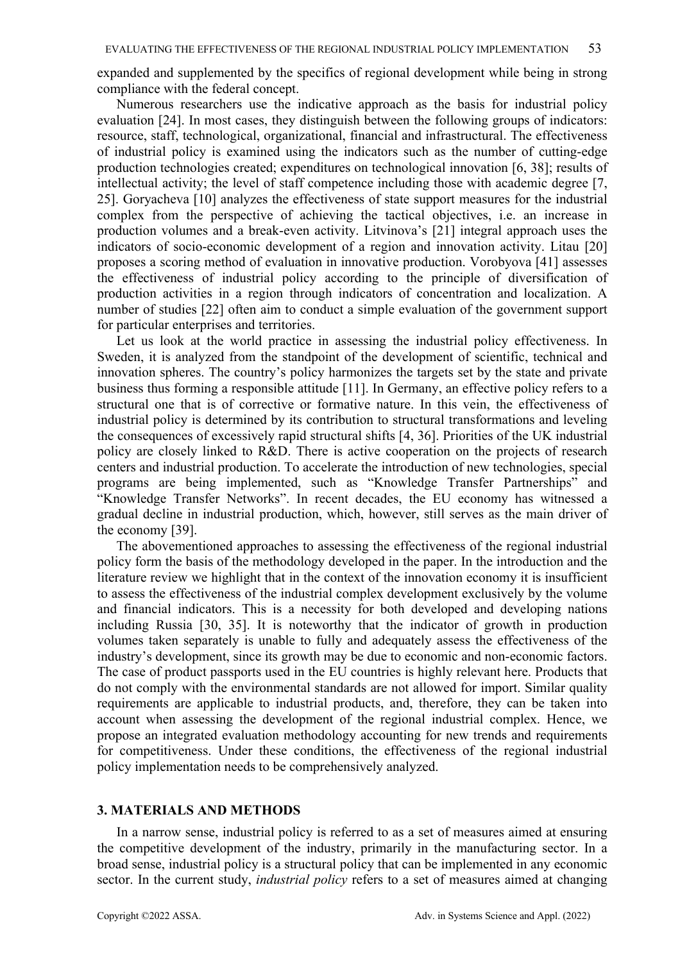expanded and supplemented by the specifics of regional development while being in strong compliance with the federal concept.

Numerous researchers use the indicative approach as the basis for industrial policy evaluation [24]. In most cases, they distinguish between the following groups of indicators: resource, staff, technological, organizational, financial and infrastructural. The effectiveness of industrial policy is examined using the indicators such as the number of cutting-edge production technologies created; expenditures on technological innovation [6, 38]; results of intellectual activity; the level of staff competence including those with academic degree [7, 25]. Goryacheva [10] analyzes the effectiveness of state support measures for the industrial complex from the perspective of achieving the tactical objectives, i.e. an increase in production volumes and a break-even activity. Litvinova's [21] integral approach uses the indicators of socio-economic development of a region and innovation activity. Litau [20] proposes a scoring method of evaluation in innovative production. Vorobyova [41] assesses the effectiveness of industrial policy according to the principle of diversification of production activities in a region through indicators of concentration and localization. A number of studies [22] often aim to conduct a simple evaluation of the government support for particular enterprises and territories.

Let us look at the world practice in assessing the industrial policy effectiveness. In Sweden, it is analyzed from the standpoint of the development of scientific, technical and innovation spheres. The country's policy harmonizes the targets set by the state and private business thus forming a responsible attitude [11]. In Germany, an effective policy refers to a structural one that is of corrective or formative nature. In this vein, the effectiveness of industrial policy is determined by its contribution to structural transformations and leveling the consequences of excessively rapid structural shifts [4, 36]. Priorities of the UK industrial policy are closely linked to R&D. There is active cooperation on the projects of research centers and industrial production. To accelerate the introduction of new technologies, special programs are being implemented, such as "Knowledge Transfer Partnerships" and "Knowledge Transfer Networks". In recent decades, the EU economy has witnessed a gradual decline in industrial production, which, however, still serves as the main driver of the economy [39].

The abovementioned approaches to assessing the effectiveness of the regional industrial policy form the basis of the methodology developed in the paper. In the introduction and the literature review we highlight that in the context of the innovation economy it is insufficient to assess the effectiveness of the industrial complex development exclusively by the volume and financial indicators. This is a necessity for both developed and developing nations including Russia [30, 35]. It is noteworthy that the indicator of growth in production volumes taken separately is unable to fully and adequately assess the effectiveness of the industry's development, since its growth may be due to economic and non-economic factors. The case of product passports used in the EU countries is highly relevant here. Products that do not comply with the environmental standards are not allowed for import. Similar quality requirements are applicable to industrial products, and, therefore, they can be taken into account when assessing the development of the regional industrial complex. Hence, we propose an integrated evaluation methodology accounting for new trends and requirements for competitiveness. Under these conditions, the effectiveness of the regional industrial policy implementation needs to be comprehensively analyzed.

#### **3. MATERIALS AND METHODS**

In a narrow sense, industrial policy is referred to as a set of measures aimed at ensuring the competitive development of the industry, primarily in the manufacturing sector. In a broad sense, industrial policy is a structural policy that can be implemented in any economic sector. In the current study, *industrial policy* refers to a set of measures aimed at changing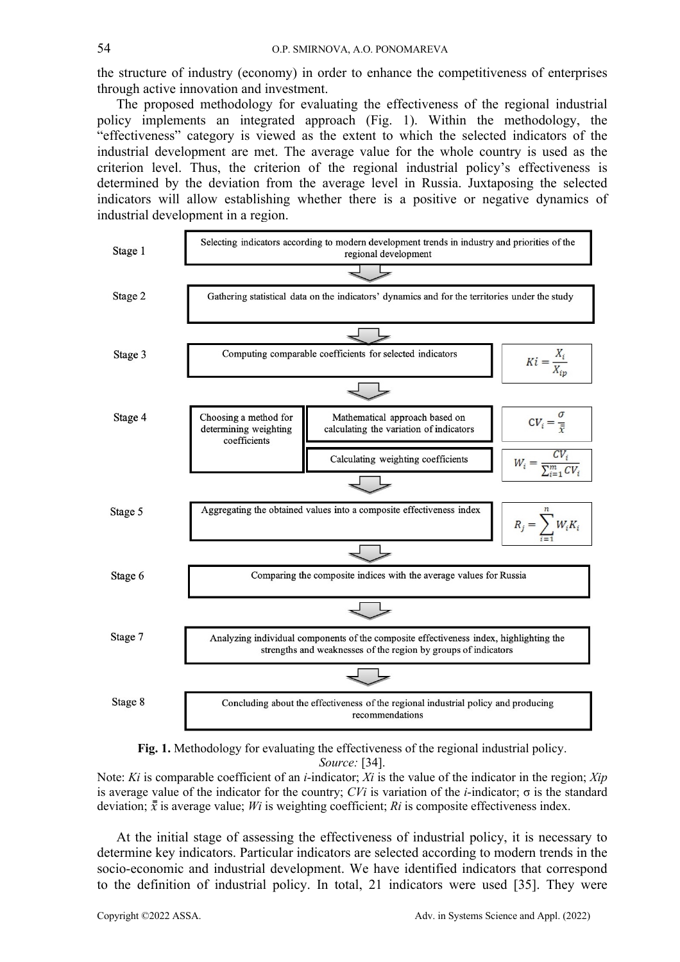the structure of industry (economy) in order to enhance the competitiveness of enterprises through active innovation and investment.

The proposed methodology for evaluating the effectiveness of the regional industrial policy implements an integrated approach (Fig. 1). Within the methodology, the "effectiveness" category is viewed as the extent to which the selected indicators of the industrial development are met. The average value for the whole country is used as the criterion level. Thus, the criterion of the regional industrial policy's effectiveness is determined by the deviation from the average level in Russia. Juxtaposing the selected indicators will allow establishing whether there is a positive or negative dynamics of industrial development in a region.





Note: *Ki* is comparable coefficient of an *i*-indicator; *Хi* is the value of the indicator in the region; *Хip* is average value of the indicator for the country; *CVi* is variation of the *i*-indicator;  $\sigma$  is the standard deviation;  $\bar{x}$  is average value; *Wi* is weighting coefficient; *Ri* is composite effectiveness index.

At the initial stage of assessing the effectiveness of industrial policy, it is necessary to determine key indicators. Particular indicators are selected according to modern trends in the socio-economic and industrial development. We have identified indicators that correspond to the definition of industrial policy. In total, 21 indicators were used [35]. They were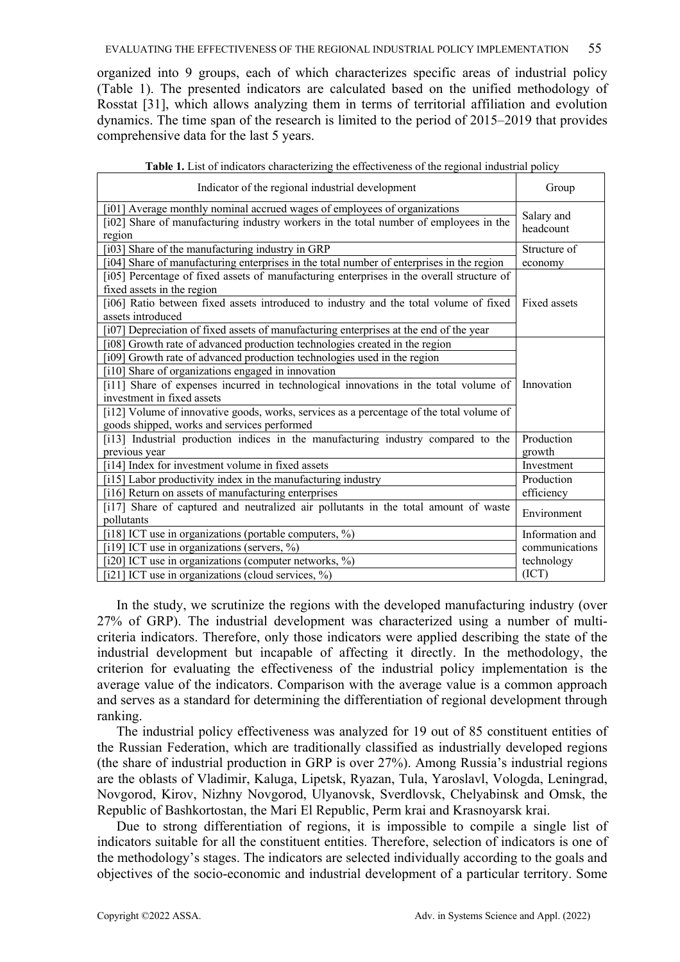organized into 9 groups, each of which characterizes specific areas of industrial policy (Table 1). The presented indicators are calculated based on the unified methodology of Rosstat [31], which allows analyzing them in terms of territorial affiliation and evolution dynamics. The time span of the research is limited to the period of 2015–2019 that provides comprehensive data for the last 5 years.

| Indicator of the regional industrial development                                                                                                                             | Group                   |
|------------------------------------------------------------------------------------------------------------------------------------------------------------------------------|-------------------------|
| [i01] Average monthly nominal accrued wages of employees of organizations<br>[i02] Share of manufacturing industry workers in the total number of employees in the<br>region | Salary and<br>headcount |
| [i03] Share of the manufacturing industry in GRP<br>[i04] Share of manufacturing enterprises in the total number of enterprises in the region                                | Structure of<br>economy |
| [i05] Percentage of fixed assets of manufacturing enterprises in the overall structure of<br>fixed assets in the region                                                      |                         |
| [i06] Ratio between fixed assets introduced to industry and the total volume of fixed<br>assets introduced                                                                   | Fixed assets            |
| [i07] Depreciation of fixed assets of manufacturing enterprises at the end of the year<br>[i08] Growth rate of advanced production technologies created in the region        |                         |
| [i09] Growth rate of advanced production technologies used in the region                                                                                                     |                         |
| [i10] Share of organizations engaged in innovation                                                                                                                           |                         |
| [i11] Share of expenses incurred in technological innovations in the total volume of                                                                                         | Innovation              |
| investment in fixed assets                                                                                                                                                   |                         |
| [i12] Volume of innovative goods, works, services as a percentage of the total volume of<br>goods shipped, works and services performed                                      |                         |
| [i13] Industrial production indices in the manufacturing industry compared to the                                                                                            | Production              |
| previous year                                                                                                                                                                | growth                  |
| [i14] Index for investment volume in fixed assets                                                                                                                            | Investment              |
| [i15] Labor productivity index in the manufacturing industry                                                                                                                 | Production              |
| [i16] Return on assets of manufacturing enterprises                                                                                                                          | efficiency              |
| [i17] Share of captured and neutralized air pollutants in the total amount of waste<br>pollutants                                                                            | Environment             |
| [i18] ICT use in organizations (portable computers, %)                                                                                                                       | Information and         |
| [i19] ICT use in organizations (servers, %)                                                                                                                                  | communications          |
| [i20] ICT use in organizations (computer networks, %)                                                                                                                        | technology              |
| [i21] ICT use in organizations (cloud services, $\%$ )                                                                                                                       | (ICT)                   |

| Table 1. List of indicators characterizing the effectiveness of the regional industrial policy |  |  |
|------------------------------------------------------------------------------------------------|--|--|
|                                                                                                |  |  |

In the study, we scrutinize the regions with the developed manufacturing industry (over 27% of GRP). The industrial development was characterized using a number of multicriteria indicators. Therefore, only those indicators were applied describing the state of the industrial development but incapable of affecting it directly. In the methodology, the criterion for evaluating the effectiveness of the industrial policy implementation is the average value of the indicators. Comparison with the average value is a common approach and serves as a standard for determining the differentiation of regional development through ranking.

The industrial policy effectiveness was analyzed for 19 out of 85 constituent entities of the Russian Federation, which are traditionally classified as industrially developed regions (the share of industrial production in GRP is over 27%). Among Russia's industrial regions are the oblasts of Vladimir, Kaluga, Lipetsk, Ryazan, Tula, Yaroslavl, Vologda, Leningrad, Novgorod, Kirov, Nizhny Novgorod, Ulyanovsk, Sverdlovsk, Chelyabinsk and Omsk, the Republic of Bashkortostan, the Mari El Republic, Perm krai and Krasnoyarsk krai.

Due to strong differentiation of regions, it is impossible to compile a single list of indicators suitable for all the constituent entities. Therefore, selection of indicators is one of the methodology's stages. The indicators are selected individually according to the goals and objectives of the socio-economic and industrial development of a particular territory. Some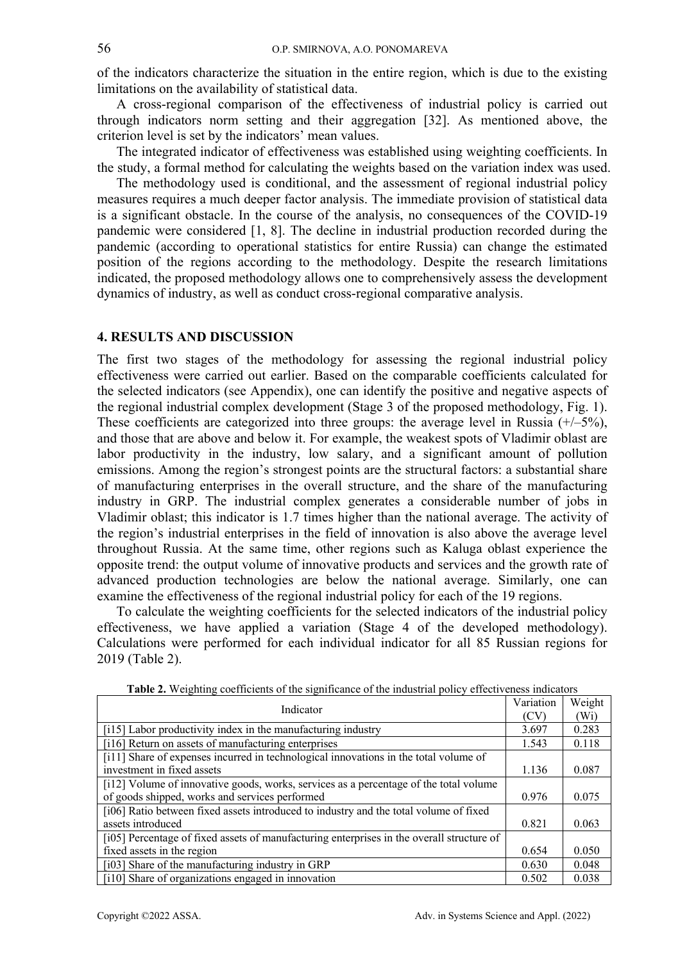of the indicators characterize the situation in the entire region, which is due to the existing limitations on the availability of statistical data.

A cross-regional comparison of the effectiveness of industrial policy is carried out through indicators norm setting and their aggregation [32]. As mentioned above, the criterion level is set by the indicators' mean values.

The integrated indicator of effectiveness was established using weighting coefficients. In the study, a formal method for calculating the weights based on the variation index was used.

The methodology used is conditional, and the assessment of regional industrial policy measures requires a much deeper factor analysis. The immediate provision of statistical data is a significant obstacle. In the course of the analysis, no consequences of the COVID-19 pandemic were considered [1, 8]. The decline in industrial production recorded during the pandemic (according to operational statistics for entire Russia) can change the estimated position of the regions according to the methodology. Despite the research limitations indicated, the proposed methodology allows one to comprehensively assess the development dynamics of industry, as well as conduct cross-regional comparative analysis.

#### **4. RESULTS AND DISCUSSION**

The first two stages of the methodology for assessing the regional industrial policy effectiveness were carried out earlier. Based on the comparable coefficients calculated for the selected indicators (see Appendix), one can identify the positive and negative aspects of the regional industrial complex development (Stage 3 of the proposed methodology, Fig. 1). These coefficients are categorized into three groups: the average level in Russia  $(+/-5%)$ , and those that are above and below it. For example, the weakest spots of Vladimir oblast are labor productivity in the industry, low salary, and a significant amount of pollution emissions. Among the region's strongest points are the structural factors: a substantial share of manufacturing enterprises in the overall structure, and the share of the manufacturing industry in GRP. The industrial complex generates a considerable number of jobs in Vladimir oblast; this indicator is 1.7 times higher than the national average. The activity of the region's industrial enterprises in the field of innovation is also above the average level throughout Russia. At the same time, other regions such as Kaluga oblast experience the opposite trend: the output volume of innovative products and services and the growth rate of advanced production technologies are below the national average. Similarly, one can examine the effectiveness of the regional industrial policy for each of the 19 regions.

To calculate the weighting coefficients for the selected indicators of the industrial policy effectiveness, we have applied a variation (Stage 4 of the developed methodology). Calculations were performed for each individual indicator for all 85 Russian regions for 2019 (Table 2).

| Indicator                                                                                 | Variation | Weight  |
|-------------------------------------------------------------------------------------------|-----------|---------|
|                                                                                           | (CV)      | $(W_i)$ |
| [i15] Labor productivity index in the manufacturing industry                              | 3.697     | 0.283   |
| [i16] Return on assets of manufacturing enterprises                                       | 1.543     | 0.118   |
| [i11] Share of expenses incurred in technological innovations in the total volume of      |           |         |
| investment in fixed assets                                                                | 1.136     | 0.087   |
| [i12] Volume of innovative goods, works, services as a percentage of the total volume     |           |         |
| of goods shipped, works and services performed                                            | 0.976     | 0.075   |
| [i06] Ratio between fixed assets introduced to industry and the total volume of fixed     |           |         |
| assets introduced                                                                         | 0.821     | 0.063   |
| [i05] Percentage of fixed assets of manufacturing enterprises in the overall structure of |           |         |
| fixed assets in the region                                                                | 0.654     | 0.050   |
| [i03] Share of the manufacturing industry in GRP                                          | 0.630     | 0.048   |
| [i10] Share of organizations engaged in innovation                                        | 0.502     | 0.038   |

**Table 2.** Weighting coefficients of the significance of the industrial policy effectiveness indicators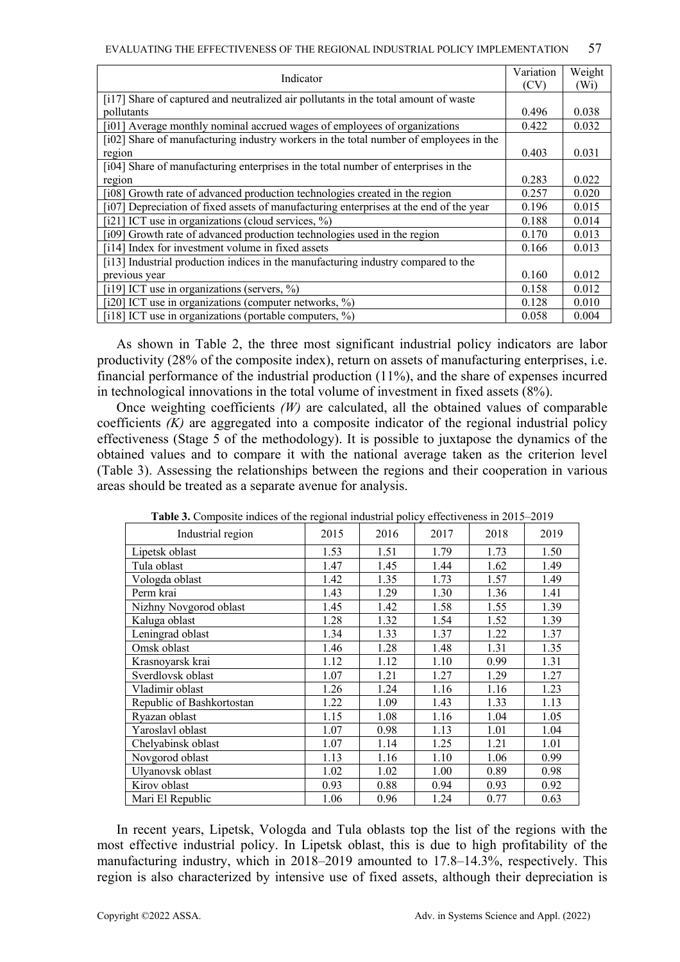| Indicator                                                                              | Variation | Weight            |
|----------------------------------------------------------------------------------------|-----------|-------------------|
|                                                                                        | (CV)      | (W <sub>i</sub> ) |
| [i17] Share of captured and neutralized air pollutants in the total amount of waste    |           |                   |
| pollutants                                                                             | 0.496     | 0.038             |
| [i01] Average monthly nominal accrued wages of employees of organizations              | 0.422     | 0.032             |
| [i02] Share of manufacturing industry workers in the total number of employees in the  |           |                   |
| region                                                                                 | 0.403     | 0.031             |
| [i04] Share of manufacturing enterprises in the total number of enterprises in the     |           |                   |
| region                                                                                 | 0.283     | 0.022             |
| [i08] Growth rate of advanced production technologies created in the region            | 0.257     | 0.020             |
| [i07] Depreciation of fixed assets of manufacturing enterprises at the end of the year | 0.196     | 0.015             |
| [i21] ICT use in organizations (cloud services, %)                                     | 0.188     | 0.014             |
| [i09] Growth rate of advanced production technologies used in the region               | 0.170     | 0.013             |
| [i14] Index for investment volume in fixed assets                                      | 0.166     | 0.013             |
| [i13] Industrial production indices in the manufacturing industry compared to the      |           |                   |
| previous year                                                                          | 0.160     | 0.012             |
| [i19] ICT use in organizations (servers, $\%$ )                                        | 0.158     | 0.012             |
| [i20] ICT use in organizations (computer networks, %)                                  | 0.128     | 0.010             |
| [i18] ICT use in organizations (portable computers, $\%$ )                             | 0.058     | 0.004             |

As shown in Table 2, the three most significant industrial policy indicators are labor productivity (28% of the composite index), return on assets of manufacturing enterprises, i.e. financial performance of the industrial production (11%), and the share of expenses incurred in technological innovations in the total volume of investment in fixed assets (8%).

Once weighting coefficients *(W)* are calculated, all the obtained values of comparable coefficients *(K)* are aggregated into a composite indicator of the regional industrial policy effectiveness (Stage 5 of the methodology). It is possible to juxtapose the dynamics of the obtained values and to compare it with the national average taken as the criterion level (Table 3). Assessing the relationships between the regions and their cooperation in various areas should be treated as a separate avenue for analysis.

| Industrial region         | 2015 | 2016 | 2017 | 2018 | 2019 |
|---------------------------|------|------|------|------|------|
| Lipetsk oblast            | 1.53 | 1.51 | 1.79 | 1.73 | 1.50 |
| Tula oblast               | 1.47 | 1.45 | 1.44 | 1.62 | 1.49 |
| Vologda oblast            | 1.42 | 1.35 | 1.73 | 1.57 | 1.49 |
| Perm krai                 | 1.43 | 1.29 | 1.30 | 1.36 | 1.41 |
| Nizhny Novgorod oblast    | 1.45 | 1.42 | 1.58 | 1.55 | 1.39 |
| Kaluga oblast             | 1.28 | 1.32 | 1.54 | 1.52 | 1.39 |
| Leningrad oblast          | 1.34 | 1.33 | 1.37 | 1.22 | 1.37 |
| Omsk oblast               | 1.46 | 1.28 | 1.48 | 1.31 | 1.35 |
| Krasnoyarsk krai          | 1.12 | 1.12 | 1.10 | 0.99 | 1.31 |
| Sverdlovsk oblast         | 1.07 | 1.21 | 1.27 | 1.29 | 1.27 |
| Vladimir oblast           | 1.26 | 1.24 | 1.16 | 1.16 | 1.23 |
| Republic of Bashkortostan | 1.22 | 1.09 | 1.43 | 1.33 | 1.13 |
| Ryazan oblast             | 1.15 | 1.08 | 1.16 | 1.04 | 1.05 |
| Yaroslavl oblast          | 1.07 | 0.98 | 1.13 | 1.01 | 1.04 |
| Chelyabinsk oblast        | 1.07 | 1.14 | 1.25 | 1.21 | 1.01 |
| Novgorod oblast           | 1.13 | 1.16 | 1.10 | 1.06 | 0.99 |
| Ulyanovsk oblast          | 1.02 | 1.02 | 1.00 | 0.89 | 0.98 |
| Kirov oblast              | 0.93 | 0.88 | 0.94 | 0.93 | 0.92 |
| Mari El Republic          | 1.06 | 0.96 | 1.24 | 0.77 | 0.63 |

**Table 3.** Composite indices of the regional industrial policy effectiveness in 2015–2019

In recent years, Lipetsk, Vologda and Tula oblasts top the list of the regions with the most effective industrial policy. In Lipetsk oblast, this is due to high profitability of the manufacturing industry, which in 2018–2019 amounted to 17.8–14.3%, respectively. This region is also characterized by intensive use of fixed assets, although their depreciation is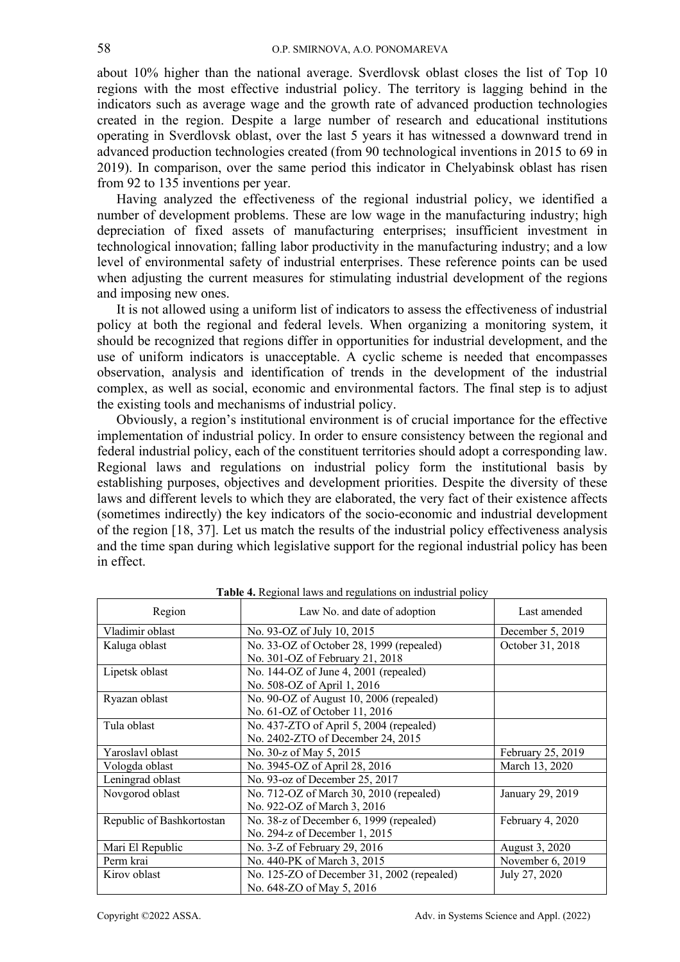about 10% higher than the national average. Sverdlovsk oblast closes the list of Top 10 regions with the most effective industrial policy. The territory is lagging behind in the indicators such as average wage and the growth rate of advanced production technologies created in the region. Despite a large number of research and educational institutions operating in Sverdlovsk oblast, over the last 5 years it has witnessed a downward trend in advanced production technologies created (from 90 technological inventions in 2015 to 69 in 2019). In comparison, over the same period this indicator in Chelyabinsk oblast has risen from 92 to 135 inventions per year.

Having analyzed the effectiveness of the regional industrial policy, we identified a number of development problems. These are low wage in the manufacturing industry; high depreciation of fixed assets of manufacturing enterprises; insufficient investment in technological innovation; falling labor productivity in the manufacturing industry; and a low level of environmental safety of industrial enterprises. These reference points can be used when adjusting the current measures for stimulating industrial development of the regions and imposing new ones.

It is not allowed using a uniform list of indicators to assess the effectiveness of industrial policy at both the regional and federal levels. When organizing a monitoring system, it should be recognized that regions differ in opportunities for industrial development, and the use of uniform indicators is unacceptable. A cyclic scheme is needed that encompasses observation, analysis and identification of trends in the development of the industrial complex, as well as social, economic and environmental factors. The final step is to adjust the existing tools and mechanisms of industrial policy.

Obviously, a region's institutional environment is of crucial importance for the effective implementation of industrial policy. In order to ensure consistency between the regional and federal industrial policy, each of the constituent territories should adopt a corresponding law. Regional laws and regulations on industrial policy form the institutional basis by establishing purposes, objectives and development priorities. Despite the diversity of these laws and different levels to which they are elaborated, the very fact of their existence affects (sometimes indirectly) the key indicators of the socio-economic and industrial development of the region [18, 37]. Let us match the results of the industrial policy effectiveness analysis and the time span during which legislative support for the regional industrial policy has been in effect.

| Region                    | Law No. and date of adoption               | Last amended      |
|---------------------------|--------------------------------------------|-------------------|
| Vladimir oblast           | No. 93-OZ of July 10, 2015                 | December 5, 2019  |
| Kaluga oblast             | No. 33-OZ of October 28, 1999 (repealed)   | October 31, 2018  |
|                           | No. 301-OZ of February 21, 2018            |                   |
| Lipetsk oblast            | No. 144-OZ of June 4, 2001 (repealed)      |                   |
|                           | No. 508-OZ of April 1, 2016                |                   |
| Ryazan oblast             | No. 90-OZ of August 10, 2006 (repealed)    |                   |
|                           | No. 61-OZ of October 11, 2016              |                   |
| Tula oblast               | No. 437-ZTO of April 5, 2004 (repealed)    |                   |
|                           | No. 2402-ZTO of December 24, 2015          |                   |
| Yaroslavl oblast          | No. 30-z of May 5, 2015                    | February 25, 2019 |
| Vologda oblast            | No. 3945-OZ of April 28, 2016              | March 13, 2020    |
| Leningrad oblast          | No. 93-oz of December 25, 2017             |                   |
| Novgorod oblast           | No. 712-OZ of March 30, 2010 (repealed)    | January 29, 2019  |
|                           | No. 922-OZ of March 3, 2016                |                   |
| Republic of Bashkortostan | No. 38-z of December 6, 1999 (repealed)    | February 4, 2020  |
|                           | No. 294-z of December 1, 2015              |                   |
| Mari El Republic          | No. 3-Z of February 29, 2016               | August 3, 2020    |
| Perm krai                 | No. 440-PK of March 3, 2015                | November 6, 2019  |
| Kirov oblast              | No. 125-ZO of December 31, 2002 (repealed) | July 27, 2020     |
|                           | No. 648-ZO of May 5, 2016                  |                   |

**Table 4.** Regional laws and regulations on industrial policy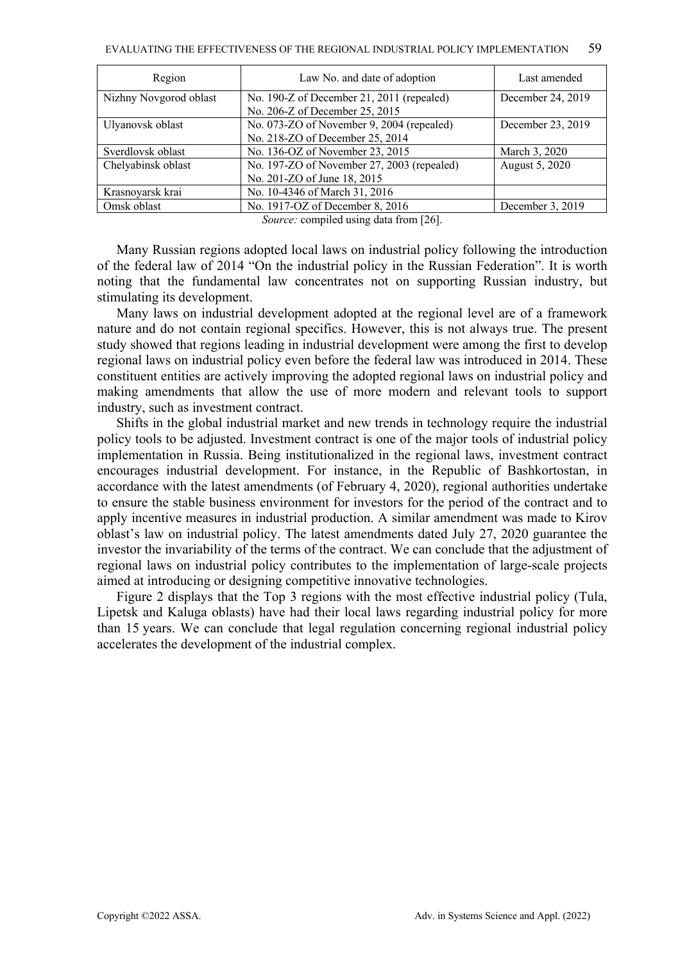| December 24, 2019 |
|-------------------|
|                   |
| December 23, 2019 |
|                   |
|                   |
|                   |
|                   |
|                   |
| December 3, 2019  |
|                   |

*Source:* compiled using data from [26].

Many Russian regions adopted local laws on industrial policy following the introduction of the federal law of 2014 "On the industrial policy in the Russian Federation". It is worth noting that the fundamental law concentrates not on supporting Russian industry, but stimulating its development.

Many laws on industrial development adopted at the regional level are of a framework nature and do not contain regional specifics. However, this is not always true. The present study showed that regions leading in industrial development were among the first to develop regional laws on industrial policy even before the federal law was introduced in 2014. These constituent entities are actively improving the adopted regional laws on industrial policy and making amendments that allow the use of more modern and relevant tools to support industry, such as investment contract.

Shifts in the global industrial market and new trends in technology require the industrial policy tools to be adjusted. Investment contract is one of the major tools of industrial policy implementation in Russia. Being institutionalized in the regional laws, investment contract encourages industrial development. For instance, in the Republic of Bashkortostan, in accordance with the latest amendments (of February 4, 2020), regional authorities undertake to ensure the stable business environment for investors for the period of the contract and to apply incentive measures in industrial production. A similar amendment was made to Kirov oblast's law on industrial policy. The latest amendments dated July 27, 2020 guarantee the investor the invariability of the terms of the contract. We can conclude that the adjustment of regional laws on industrial policy contributes to the implementation of large-scale projects aimed at introducing or designing competitive innovative technologies.

Figure 2 displays that the Top 3 regions with the most effective industrial policy (Tula, Lipetsk and Kaluga oblasts) have had their local laws regarding industrial policy for more than 15 years. We can conclude that legal regulation concerning regional industrial policy accelerates the development of the industrial complex.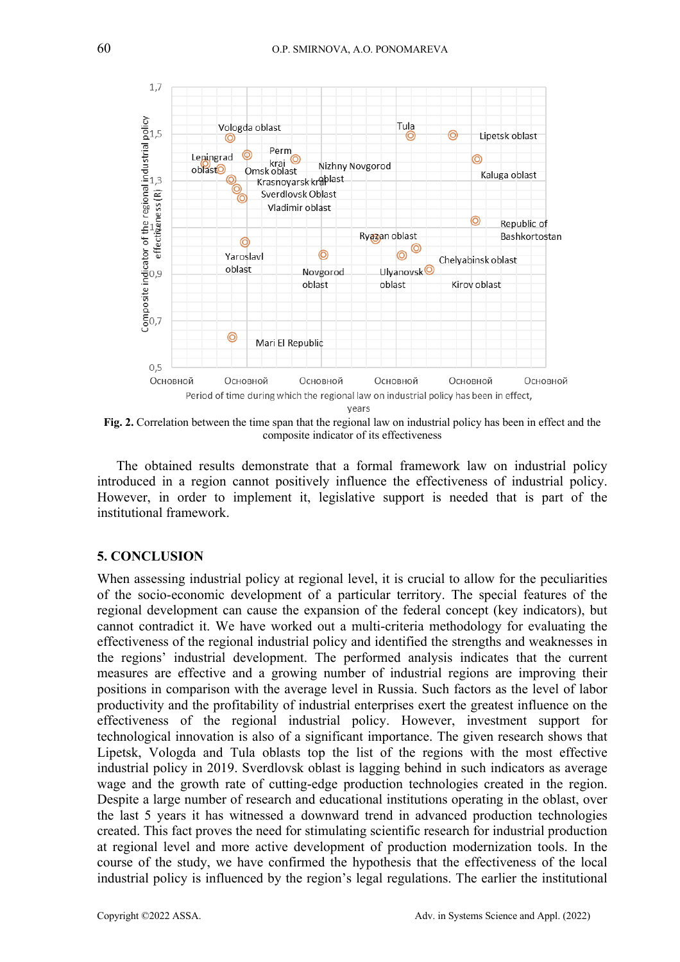

**Fig. 2.** Correlation between the time span that the regional law on industrial policy has been in effect and the composite indicator of its effectiveness

The obtained results demonstrate that a formal framework law on industrial policy introduced in a region cannot positively influence the effectiveness of industrial policy. However, in order to implement it, legislative support is needed that is part of the institutional framework.

#### **5. CONCLUSION**

When assessing industrial policy at regional level, it is crucial to allow for the peculiarities of the socio-economic development of a particular territory. The special features of the regional development can cause the expansion of the federal concept (key indicators), but cannot contradict it. We have worked out a multi-criteria methodology for evaluating the effectiveness of the regional industrial policy and identified the strengths and weaknesses in the regions' industrial development. The performed analysis indicates that the current measures are effective and a growing number of industrial regions are improving their positions in comparison with the average level in Russia. Such factors as the level of labor productivity and the profitability of industrial enterprises exert the greatest influence on the effectiveness of the regional industrial policy. However, investment support for technological innovation is also of a significant importance. The given research shows that Lipetsk, Vologda and Tula oblasts top the list of the regions with the most effective industrial policy in 2019. Sverdlovsk oblast is lagging behind in such indicators as average wage and the growth rate of cutting-edge production technologies created in the region. Despite a large number of research and educational institutions operating in the oblast, over the last 5 years it has witnessed a downward trend in advanced production technologies created. This fact proves the need for stimulating scientific research for industrial production at regional level and more active development of production modernization tools. In the course of the study, we have confirmed the hypothesis that the effectiveness of the local industrial policy is influenced by the region's legal regulations. The earlier the institutional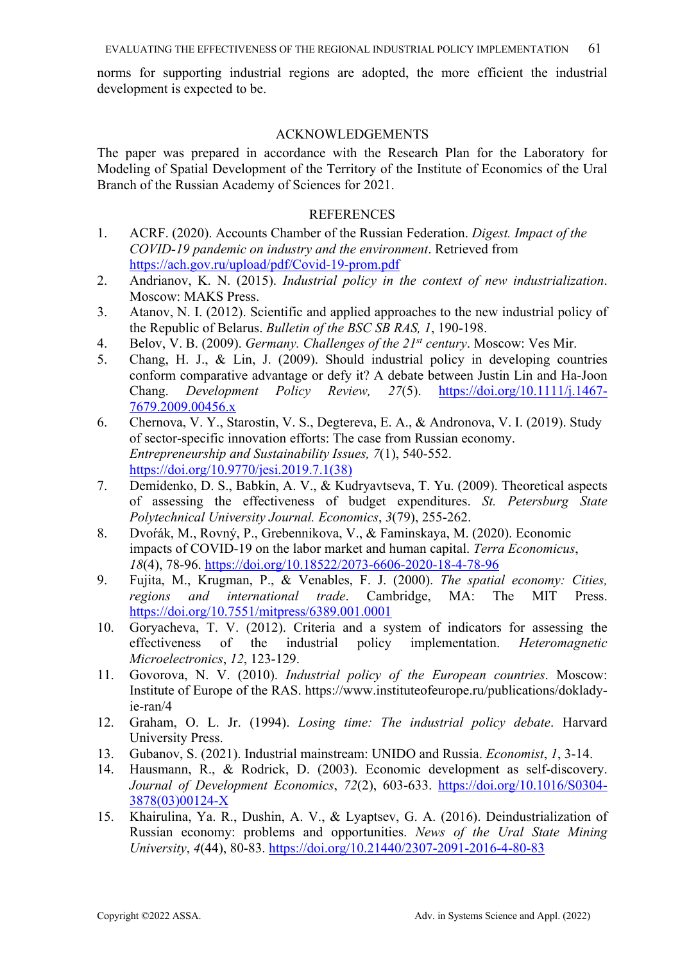norms for supporting industrial regions are adopted, the more efficient the industrial development is expected to be.

## ACKNOWLEDGEMENTS

The paper was prepared in accordance with the Research Plan for the Laboratory for Modeling of Spatial Development of the Territory of the Institute of Economics of the Ural Branch of the Russian Academy of Sciences for 2021.

### **REFERENCES**

- 1. ACRF. (2020). Accounts Chamber of the Russian Federation. *Digest. Impact of the COVID-19 pandemic on industry and the environment*. Retrieved from https://ach.gov.ru/upload/pdf/Covid-19-prom.pdf
- 2. Andrianov, K. N. (2015). *Industrial policy in the context of new industrialization*. Moscow: MAKS Press.
- 3. Atanov, N. I. (2012). Scientific and applied approaches to the new industrial policy of the Republic of Belarus. *Bulletin of the BSC SB RAS, 1*, 190-198.
- 4. Belov, V. B. (2009). *Germany. Challenges of the 21st century*. Moscow: Ves Mir.
- 5. Chang, H. J., & Lin, J. (2009). Should industrial policy in developing countries conform comparative advantage or defy it? A debate between Justin Lin and Ha-Joon Chang. *Development Policy Review, 27*(5). https://doi.org/10.1111/j.1467- 7679.2009.00456.x
- 6. Chernova, V. Y., Starostin, V. S., Degtereva, E. A., & Andronova, V. I. (2019). Study of sector-specific innovation efforts: The case from Russian economy. *Entrepreneurship and Sustainability Issues, 7*(1), 540-552. https://doi.org/10.9770/jesi.2019.7.1(38)
- 7. Demidenko, D. S., Babkin, A. V., & Kudryavtseva, T. Yu. (2009). Theoretical aspects of assessing the effectiveness of budget expenditures. *St. Petersburg State Polytechnical University Journal. Economics*, *3*(79), 255-262.
- 8. Dvoŕák, M., Rovný, P., Grebennikova, V., & Faminskaya, M. (2020). Economic impacts of COVID-19 on the labor market and human capital. *Terra Economicus*, *18*(4), 78-96. https://doi.org/10.18522/2073-6606-2020-18-4-78-96
- 9. Fujita, M., Krugman, P., & Venables, F. J. (2000). *The spatial economy: Cities, regions and international trade*. Cambridge, MA: The MIT Press. https://doi.org/10.7551/mitpress/6389.001.0001
- 10. Goryacheva, T. V. (2012). Criteria and a system of indicators for assessing the effectiveness of the industrial policy implementation. *Heteromagnetic Microelectronics*, *12*, 123-129.
- 11. Govorova, N. V. (2010). *Industrial policy of the European countries*. Moscow: Institute of Europe of the RAS. https://www.instituteofeurope.ru/publications/dokladyie-ran/4
- 12. Graham, O. L. Jr. (1994). *Losing time: The industrial policy debate*. Harvard University Press.
- 13. Gubanov, S. (2021). Industrial mainstream: UNIDO and Russia. *Economist*, *1*, 3-14.
- 14. Hausmann, R., & Rodrick, D. (2003). Economic development as self-discovery. *Journal of Development Economics*, *72*(2), 603-633. https://doi.org/10.1016/S0304- 3878(03)00124-X
- 15. Khairulina, Ya. R., Dushin, A. V., & Lyaptsev, G. A. (2016). Deindustrialization of Russian economy: problems and opportunities. *News of the Ural State Mining University*, *4*(44), 80-83. https://doi.org/10.21440/2307-2091-2016-4-80-83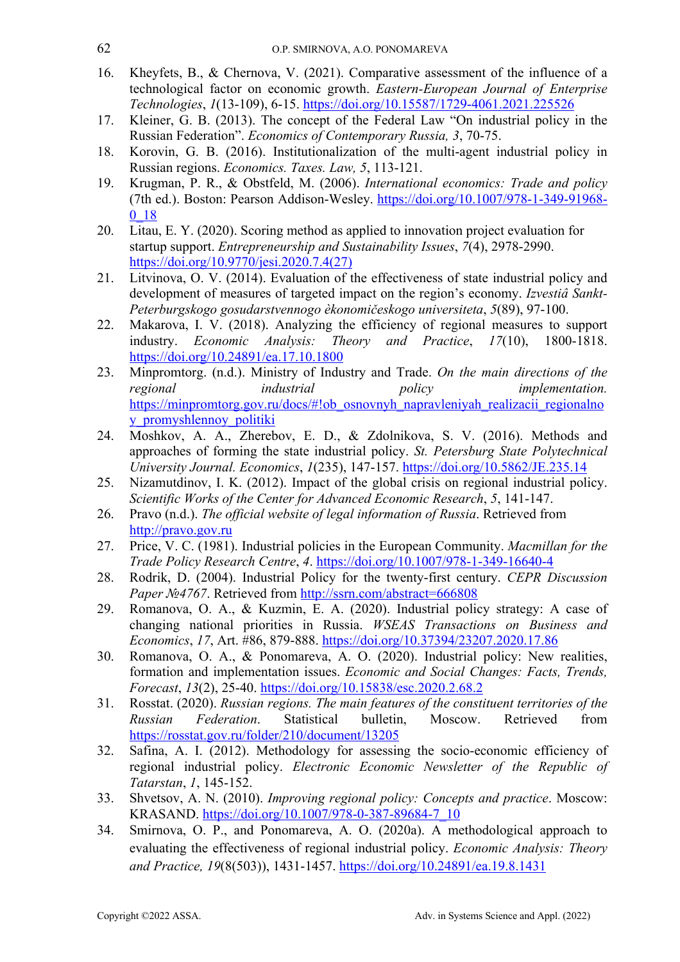- 16. Kheyfets, B., & Chernova, V. (2021). Comparative assessment of the influence of a technological factor on economic growth. *Eastern-European Journal of Enterprise Technologies*, *1*(13-109), 6-15. https://doi.org/10.15587/1729-4061.2021.225526
- 17. Kleiner, G. B. (2013). The concept of the Federal Law "On industrial policy in the Russian Federation". *Economics of Contemporary Russia, 3*, 70-75.
- 18. Korovin, G. B. (2016). Institutionalization of the multi-agent industrial policy in Russian regions. *Economics. Taxes. Law, 5*, 113-121.
- 19. Krugman, P. R., & Obstfeld, M. (2006). *International economics: Trade and policy* (7th ed.). Boston: Pearson Addison-Wesley. https://doi.org/10.1007/978-1-349-91968- 0\_18
- 20. Litau, E. Y. (2020). Scoring method as applied to innovation project evaluation for startup support. *Entrepreneurship and Sustainability Issues*, *7*(4), 2978-2990. https://doi.org/10.9770/jesi.2020.7.4(27)
- 21. Litvinova, O. V. (2014). Evaluation of the effectiveness of state industrial policy and development of measures of targeted impact on the region's economy. *Izvestiâ Sankt-Peterburgskogo gosudarstvennogo èkonomičeskogo universiteta*, *5*(89), 97-100.
- 22. Makarova, I. V. (2018). Analyzing the efficiency of regional measures to support industry. *Economic Analysis: Theory and Practice*, *17*(10), 1800-1818. https://doi.org/10.24891/ea.17.10.1800
- 23. Minpromtorg. (n.d.). Ministry of Industry and Trade. *On the main directions of the regional industrial policy implementation.* https://minpromtorg.gov.ru/docs/#!ob\_osnovnyh\_napravleniyah\_realizacii\_regionalno y\_promyshlennoy\_politiki
- 24. Moshkov, A. A., Zherebov, E. D., & Zdolnikova, S. V. (2016). Methods and approaches of forming the state industrial policy. *St. Petersburg State Polytechnical University Journal. Economics*, *1*(235), 147-157. https://doi.org/10.5862/JE.235.14
- 25. Nizamutdinov, I. K. (2012). Impact of the global crisis on regional industrial policy. *Scientific Works of the Center for Advanced Economic Research*, *5*, 141-147.
- 26. Pravo (n.d.). *The official website of legal information of Russia*. Retrieved from http://pravo.gov.ru
- 27. Price, V. C. (1981). Industrial policies in the European Community. *Macmillan for the Trade Policy Research Centre*, *4*. https://doi.org/10.1007/978-1-349-16640-4
- 28. Rodrik, D. (2004). Industrial Policy for the twenty-first century. *CEPR Discussion Paper №4767*. Retrieved from http://ssrn.com/abstract=666808
- 29. Romanova, O. A., & Kuzmin, E. A. (2020). Industrial policy strategy: A case of changing national priorities in Russia. *WSEAS Transactions on Business and Economics*, *17*, Art. #86, 879-888. https://doi.org/10.37394/23207.2020.17.86
- 30. Romanova, O. A., & Ponomareva, A. O. (2020). Industrial policy: New realities, formation and implementation issues. *Economic and Social Changes: Facts, Trends, Forecast*, *13*(2), 25-40. https://doi.org/10.15838/esc.2020.2.68.2
- 31. Rosstat. (2020). *Russian regions. The main features of the constituent territories of the Russian Federation*. Statistical bulletin, Moscow. Retrieved from https://rosstat.gov.ru/folder/210/document/13205
- 32. Safina, A. I. (2012). Methodology for assessing the socio-economic efficiency of regional industrial policy. *Electronic Economic Newsletter of the Republic of Tatarstan*, *1*, 145-152.
- 33. Shvetsov, A. N. (2010). *Improving regional policy: Concepts and practice*. Moscow: KRASAND. https://doi.org/10.1007/978-0-387-89684-7\_10
- 34. Smirnova, O. P., and Ponomareva, A. O. (2020a). A methodological approach to evaluating the effectiveness of regional industrial policy. *Economic Analysis: Theory and Practice, 19*(8(503)), 1431-1457. https://doi.org/10.24891/ea.19.8.1431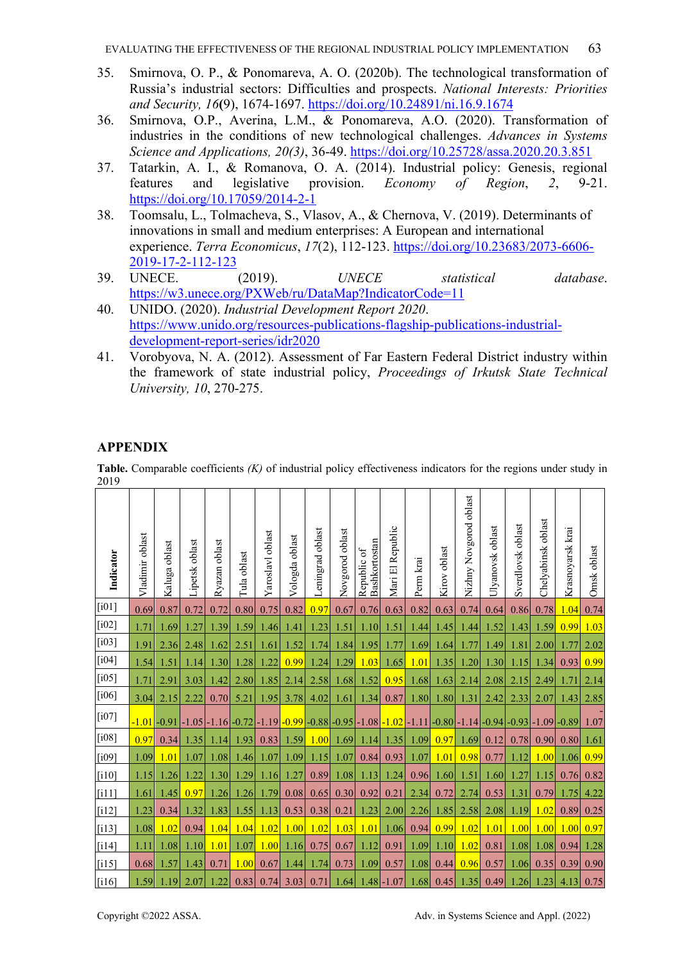- 35. Smirnova, O. P., & Ponomareva, A. O. (2020b). The technological transformation of Russia's industrial sectors: Difficulties and prospects. *National Interests: Priorities and Security, 16***(**9), 1674-1697. https://doi.org/10.24891/ni.16.9.1674
- 36. Smirnova, O.P., Averina, L.M., & Ponomareva, A.O. (2020). Transformation of industries in the conditions of new technological challenges. *Advances in Systems Science and Applications, 20(3)*, 36-49. https://doi.org/10.25728/assa.2020.20.3.851
- 37. Tatarkin, A. I., & Romanova, O. A. (2014). Industrial policy: Genesis, regional features and legislative provision. *Economy of Region*, *2*, 9-21. https://doi.org/10.17059/2014-2-1
- 38. Toomsalu, L., Tolmacheva, S., Vlasov, A., & Chernova, V. (2019). Determinants of innovations in small and medium enterprises: A European and international experience. *Terra Economicus*, *17*(2), 112-123. https://doi.org/10.23683/2073-6606- 2019-17-2-112-123
- 39. UNECE. (2019). *UNECE statistical database*. https://w3.unece.org/PXWeb/ru/DataMap?IndicatorCode=11
- 40. UNIDO. (2020). *Industrial Development Report 2020*. https://www.unido.org/resources-publications-flagship-publications-industrialdevelopment-report-series/idr2020
- 41. Vorobyova, N. A. (2012). Assessment of Far Eastern Federal District industry within the framework of state industrial policy, *Proceedings of Irkutsk State Technical University, 10*, 270-275.

## **APPENDIX**

**Table.** Comparable coefficients *(K)* of industrial policy effectiveness indicators for the regions under study in 2010

| 20 I Z              |                    |                  |                |               |                |                  |                   |                     |                 |                                         |                     |           |              |                         |                  |                   |                    |                  |             |
|---------------------|--------------------|------------------|----------------|---------------|----------------|------------------|-------------------|---------------------|-----------------|-----------------------------------------|---------------------|-----------|--------------|-------------------------|------------------|-------------------|--------------------|------------------|-------------|
| Indicator           | oblast<br>Vladimir | oblast<br>Kaluga | Lipetsk oblast | Ryazan oblast | Tula oblast    | Yaroslavl oblast | oblast<br>Vologda | oblast<br>Leningrad | Novgorod oblast | Bashkortostan<br>Republic of            | Republic<br>Mari El | Perm krai | Kirov oblast | Nizhny Novgorod oblast  | Ulyanovsk oblast | Sverdlovsk oblast | Chelyabinsk oblast | Krasnoyarsk krai | Omsk oblast |
| [i01]               | 0.69               | 0.87             | 0.72           | 0.72          | 0.80           | 0.75             | 0.82              | 0.97                | 0.67            | 0.76                                    | 0.63                | 0.82      | 0.63         | 0.74                    | 0.64             | 0.86              | 0.78               | 1.04             | 0.74        |
| $[i02]$             | 1.71               | 1.69             | 1.27           | 1.39          | 1.59           | 1.46             | 1.41              | 1.23                | 1.51            | 1.10                                    | 1.51                | 1.44      | 1.45         | 1.44                    | 1.52             | 1.43              | 1.59               | 0.99             | 1.03        |
| $[i03]$             | 1.91               | 2.36             | 2.48           | 1.62          | 2.51           | 1.61             | 1.52              | 1.74                | 1.84            | 1.95                                    | 1.77                | 1.69      | 1.64         | 1.77                    | 1.49             | 1.81              | 2.00               | 1.77             | 2.02        |
| $[i04]$             | 1.54               | 1.51             | 1.14           | 1.30          | 1.28           | 1.22             | 0.99              | 1.24                | 1.29            | 1.03                                    | 1.65                | 1.01      | 1.35         | 1.20                    | 1.30             | 1.15              | 1.34               | 0.93             | 0.99        |
| $\left[105\right]$  | 1.71               | 2.91             | 3.03           | 1.42          | 2.80           | 1.85             | 2.14              | 2.58                | 1.68            | 1.52                                    | 0.95                | 1.68      | 1.63         | 2.14                    | 2.08             | 2.15              | 2.49               | 1.71             | 2.14        |
| [i06]               | 3.04               | 2.15             | 2.22           | 0.70          | 5.21           | 1.95             | 3.78              | 4.02                | 1.61            | 1.34                                    | 0.87                | 1.80      | 1.80         | 1.31                    | 2.42             | 2.33              | 2.07               | 1.43             | 2.85        |
| $[107]$             | $-1.01$            | $-0.91$          | $-1.05$        |               | $-1.16[-0.72]$ | $-1.19$          |                   |                     |                 | $-0.99$ $-0.88$ $-0.95$ $-1.08$ $-1.02$ |                     |           |              | $-1.11$ $-0.80$ $-1.14$ |                  | $-0.94$ $-0.93$   | $-1.09$ -0.89      |                  | 1.07        |
| [i08]               | 0.97               | 0.34             | 1.35           | 1.14          | 1.93           | 0.83             | 1.59              | 1.00                | 1.69            | 1.14                                    | 1.35                | 1.09      | 0.97         | 1.69                    | 0.12             | 0.78              | 0.90               | 0.80             | 1.61        |
| $\lceil i09 \rceil$ | 1.09               | 1.01             | 1.07           | 1.08          | 1.46           | 1.07             | 1.09              | 1.15                | 1.07            | 0.84                                    | 0.93                | 1.07      | 1.01         | 0.98                    | 0.77             | 1.12              | 1.00               | 1.06             | 0.99        |
| [110]               | 1.15               | 1.26             | 1.22           | 1.30          | 1.29           | 1.16             | 1.27              | 0.89                | 1.08            | 1.13                                    | 1.24                | 0.96      | 1.60         | 1.51                    | 1.60             | 1.27              | 1.15               | 0.76             | 0.82        |
| [111]               | 1.61               | 1.45             | 0.97           | 1.26          | 1.26           | 1.79             | 0.08              | 0.65                | 0.30            | 0.92                                    | 0.21                | 2.34      | 0.72         | 2.74                    | 0.53             | 1.31              | 0.79               | 1.75             | 4.22        |
| [112]               | 1.23               | 0.34             | 1.32           | 1.83          | 1.55           | 1.13             | 0.53              | 0.38                | 0.21            | 1.23                                    | 2.00                | 2.26      | 1.85         | 2.58                    | 2.08             | 1.19              | 1.02               | 0.89             | 0.25        |
| $[113]$             | 1.08               | 1.02             | 0.94           | 1.04          | 1.04           | 1.02             | 1.00              | 1.02                | 1.03            | 1.01                                    | 1.06                | 0.94      | 0.99         | 1.02                    | 1.01             | 1.00              | 1.00               | 1.00             | 0.97        |
| $\lceil 114 \rceil$ | 1.11               | 1.08             | 1.10           | 1.01          | 1.07           | 1.00             | 1.16              | 0.75                | 0.67            | 1.12                                    | 0.91                | 1.09      | 1.10         | 1.02                    | 0.81             | 1.08              | 1.08               | 0.94             | 1.28        |
| $\lceil$ i15]       | 0.68               | 1.57             | 1.43           | 0.71          | 1.00           | 0.67             | 1.44              | 1.74                | 0.73            | 1.09                                    | 0.57                | 1.08      | 0.44         | 0.96                    | 0.57             | 1.06              | 0.35               | 0.39             | 0.90        |
| [i16]               | 1.59               | 1.19             | 2.07           | 1.22          | 0.83           | 0.74             | 3.03              | 0.71                | 1.64            |                                         | $1.48 - 1.07$       | 1.68      | 0.45         | 1.35                    | 0.49             | 1.26              | 1.23               | 4.13             | 0.75        |